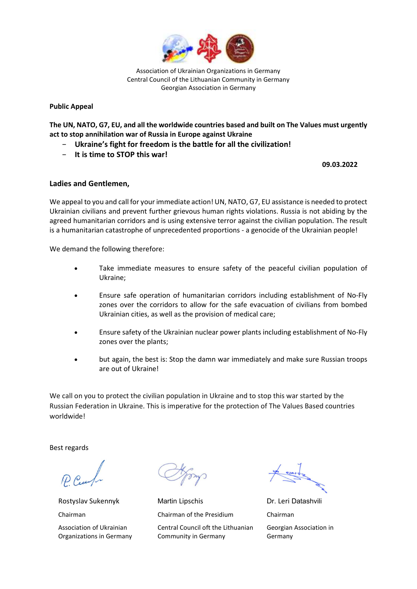

Association of Ukrainian Organizations in Germany Central Council of the Lithuanian Community in Germany Georgian Association in Germany

Public Appeal

The UN, NATO, G7, EU, and all the worldwide countries based and built on The Values must urgently act to stop annihilation war of Russia in Europe against Ukraine

- − Ukraine's fight for freedom is the battle for all the civilization!
- − It is time to STOP this war!

09.03.2022

## Ladies and Gentlemen,

We appeal to you and call for your immediate action! UN, NATO, G7, EU assistance is needed to protect Ukrainian civilians and prevent further grievous human rights violations. Russia is not abiding by the agreed humanitarian corridors and is using extensive terror against the civilian population. The result is a humanitarian catastrophe of unprecedented proportions - a genocide of the Ukrainian people!

We demand the following therefore:

- Take immediate measures to ensure safety of the peaceful civilian population of Ukraine;
- Ensure safe operation of humanitarian corridors including establishment of No-Fly zones over the corridors to allow for the safe evacuation of civilians from bombed Ukrainian cities, as well as the provision of medical care;
- Ensure safety of the Ukrainian nuclear power plants including establishment of No-Fly zones over the plants;
- but again, the best is: Stop the damn war immediately and make sure Russian troops are out of Ukraine!

We call on you to protect the civilian population in Ukraine and to stop this war started by the Russian Federation in Ukraine. This is imperative for the protection of The Values Based countries worldwide!

Best regards

Rostyslav Sukennyk Chairman Association of Ukrainian Organizations in Germany

Martin Lipschis Chairman of the Presidium Central Council oft the Lithuanian Community in Germany

Dr. Leri Datashvili Chairman Georgian Association in Germany